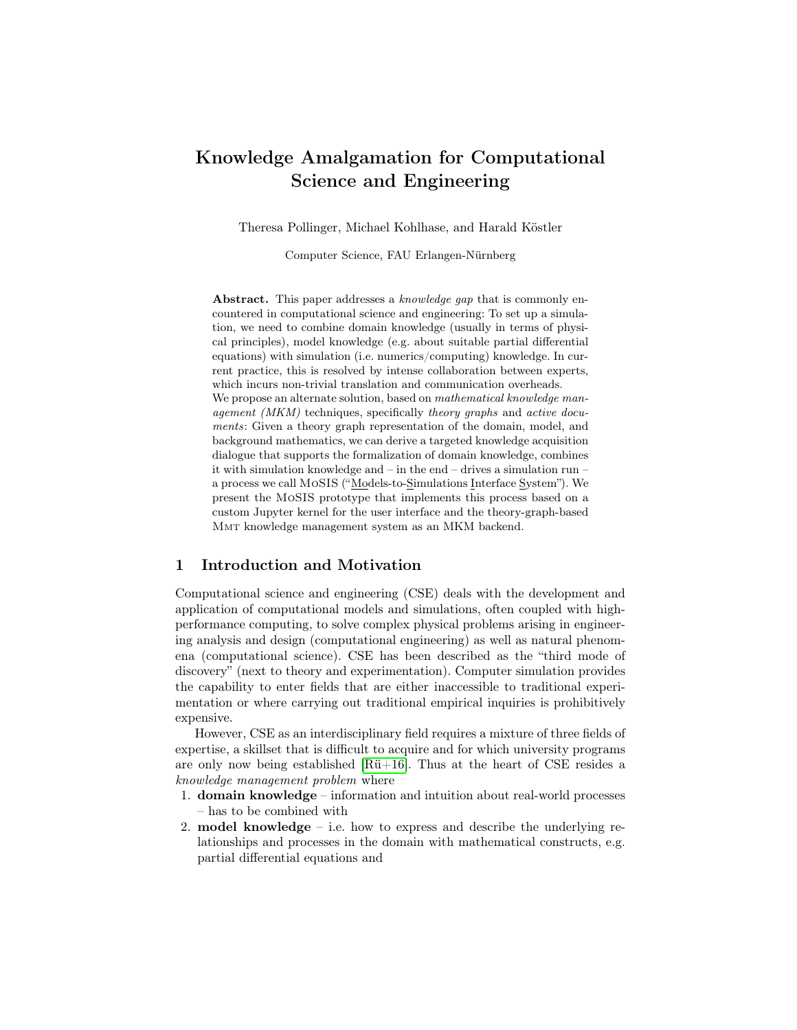# Knowledge Amalgamation for Computational Science and Engineering

Theresa Pollinger, Michael Kohlhase, and Harald Köstler

Computer Science, FAU Erlangen-Nürnberg

Abstract. This paper addresses a knowledge gap that is commonly encountered in computational science and engineering: To set up a simulation, we need to combine domain knowledge (usually in terms of physical principles), model knowledge (e.g. about suitable partial differential equations) with simulation (i.e. numerics/computing) knowledge. In current practice, this is resolved by intense collaboration between experts, which incurs non-trivial translation and communication overheads. We propose an alternate solution, based on mathematical knowledge management (MKM) techniques, specifically theory graphs and active documents: Given a theory graph representation of the domain, model, and background mathematics, we can derive a targeted knowledge acquisition dialogue that supports the formalization of domain knowledge, combines it with simulation knowledge and – in the end – drives a simulation run – a process we call MoSIS ("Models-to-Simulations Interface System"). We present the MoSIS prototype that implements this process based on a custom Jupyter kernel for the user interface and the theory-graph-based Mmt knowledge management system as an MKM backend.

# 1 Introduction and Motivation

Computational science and engineering (CSE) deals with the development and application of computational models and simulations, often coupled with highperformance computing, to solve complex physical problems arising in engineering analysis and design (computational engineering) as well as natural phenomena (computational science). CSE has been described as the "third mode of discovery" (next to theory and experimentation). Computer simulation provides the capability to enter fields that are either inaccessible to traditional experimentation or where carrying out traditional empirical inquiries is prohibitively expensive.

However, CSE as an interdisciplinary field requires a mixture of three fields of expertise, a skillset that is difficult to acquire and for which university programs are only now being established [\[Rü+16\]](#page-15-0). Thus at the heart of CSE resides a knowledge management problem where

- 1. domain knowledge information and intuition about real-world processes – has to be combined with
- 2. model knowledge i.e. how to express and describe the underlying relationships and processes in the domain with mathematical constructs, e.g. partial differential equations and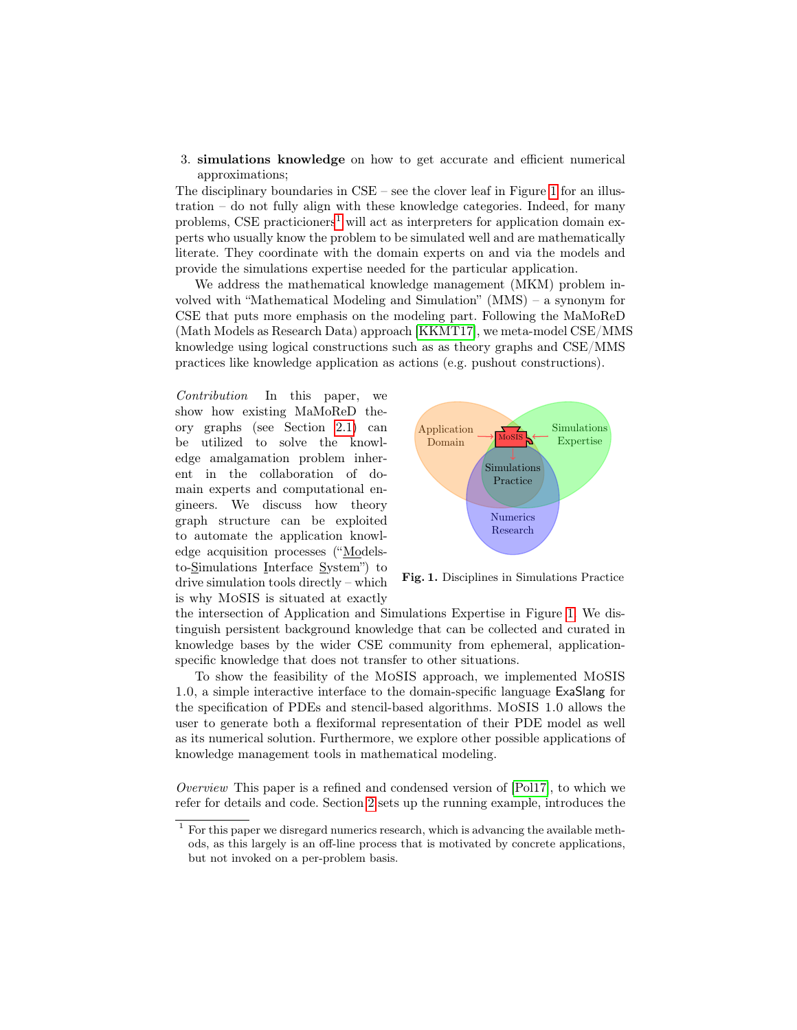3. simulations knowledge on how to get accurate and efficient numerical approximations;

The disciplinary boundaries in CSE – see the clover leaf in Figure [1](#page-1-0) for an illustration – do not fully align with these knowledge categories. Indeed, for many problems, CSE practicioners<sup>[1](#page-1-1)</sup> will act as interpreters for application domain experts who usually know the problem to be simulated well and are mathematically literate. They coordinate with the domain experts on and via the models and provide the simulations expertise needed for the particular application.

We address the mathematical knowledge management (MKM) problem involved with "Mathematical Modeling and Simulation" (MMS) – a synonym for CSE that puts more emphasis on the modeling part. Following the MaMoReD (Math Models as Research Data) approach [\[KKMT17\]](#page-14-0), we meta-model CSE/MMS knowledge using logical constructions such as as theory graphs and CSE/MMS practices like knowledge application as actions (e.g. pushout constructions).

Contribution In this paper, we show how existing MaMoReD theory graphs (see Section [2.1\)](#page-2-0) can be utilized to solve the knowledge amalgamation problem inherent in the collaboration of domain experts and computational engineers. We discuss how theory graph structure can be exploited to automate the application knowledge acquisition processes ("Modelsto-Simulations Interface System") to drive simulation tools directly – which is why MoSIS is situated at exactly



<span id="page-1-0"></span>Fig. 1. Disciplines in Simulations Practice

the intersection of Application and Simulations Expertise in Figure [1.](#page-1-0) We distinguish persistent background knowledge that can be collected and curated in knowledge bases by the wider CSE community from ephemeral, applicationspecific knowledge that does not transfer to other situations.

To show the feasibility of the MoSIS approach, we implemented MoSIS 1.0, a simple interactive interface to the domain-specific language ExaSlang for the specification of PDEs and stencil-based algorithms. MoSIS 1.0 allows the user to generate both a flexiformal representation of their PDE model as well as its numerical solution. Furthermore, we explore other possible applications of knowledge management tools in mathematical modeling.

Overview This paper is a refined and condensed version of [\[Pol17\]](#page-15-1), to which we refer for details and code. Section [2](#page-2-1) sets up the running example, introduces the

<span id="page-1-1"></span> $1$  For this paper we disregard numerics research, which is advancing the available methods, as this largely is an off-line process that is motivated by concrete applications, but not invoked on a per-problem basis.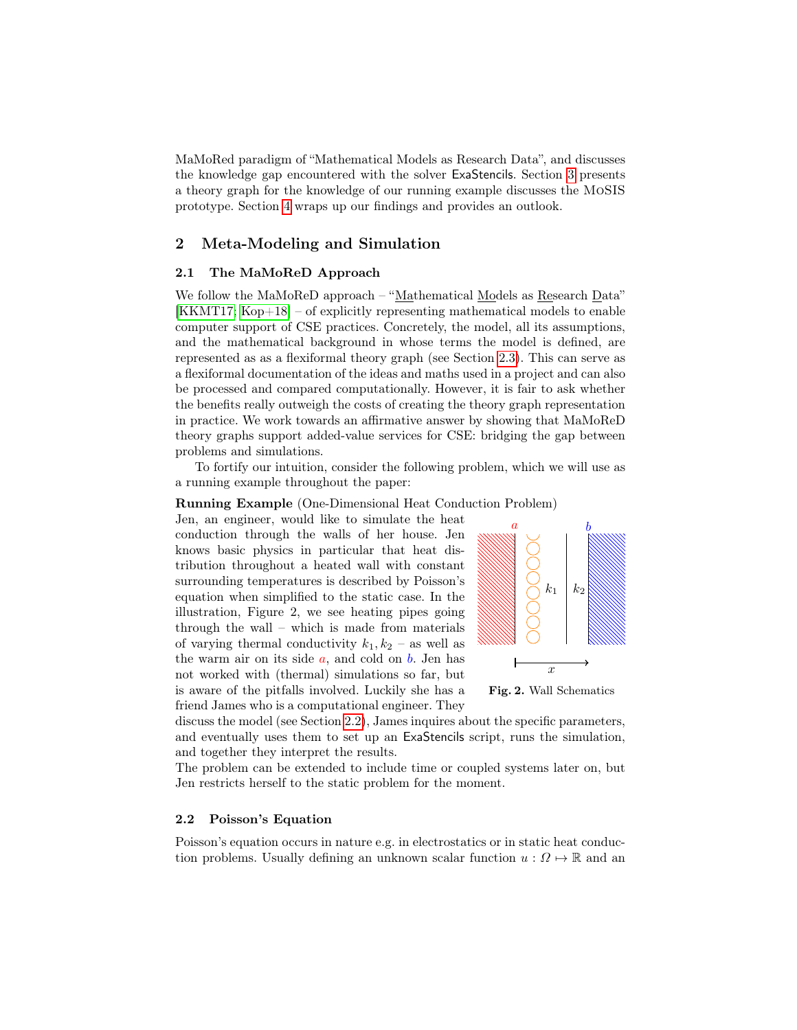MaMoRed paradigm of "Mathematical Models as Research Data", and discusses the knowledge gap encountered with the solver ExaStencils. Section [3](#page-5-0) presents a theory graph for the knowledge of our running example discusses the MoSIS prototype. Section [4](#page-12-0) wraps up our findings and provides an outlook.

## <span id="page-2-1"></span>2 Meta-Modeling and Simulation

#### <span id="page-2-0"></span>2.1 The MaMoReD Approach

We follow the MaMoReD approach – "Mathematical Models as Research Data" [\[KKMT17;](#page-14-0) [Kop+18\]](#page-14-1) – of explicitly representing mathematical models to enable computer support of CSE practices. Concretely, the model, all its assumptions, and the mathematical background in whose terms the model is defined, are represented as as a flexiformal theory graph (see Section [2.3\)](#page-3-0). This can serve as a flexiformal documentation of the ideas and maths used in a project and can also be processed and compared computationally. However, it is fair to ask whether the benefits really outweigh the costs of creating the theory graph representation in practice. We work towards an affirmative answer by showing that MaMoReD theory graphs support added-value services for CSE: bridging the gap between problems and simulations.

To fortify our intuition, consider the following problem, which we will use as a running example throughout the paper:

Running Example (One-Dimensional Heat Conduction Problem)

Jen, an engineer, would like to simulate the heat conduction through the walls of her house. Jen knows basic physics in particular that heat distribution throughout a heated wall with constant surrounding temperatures is described by Poisson's equation when simplified to the static case. In the illustration, Figure 2, we see heating pipes going through the wall – which is made from materials of varying thermal conductivity  $k_1, k_2$  – as well as the warm air on its side  $a$ , and cold on  $b$ . Jen has not worked with (thermal) simulations so far, but is aware of the pitfalls involved. Luckily she has a friend James who is a computational engineer. They



Fig. 2. Wall Schematics

discuss the model (see Section [2.2\)](#page-2-2), James inquires about the specific parameters, and eventually uses them to set up an ExaStencils script, runs the simulation, and together they interpret the results.

The problem can be extended to include time or coupled systems later on, but Jen restricts herself to the static problem for the moment.

#### <span id="page-2-2"></span>2.2 Poisson's Equation

Poisson's equation occurs in nature e.g. in electrostatics or in static heat conduction problems. Usually defining an unknown scalar function  $u : \Omega \mapsto \mathbb{R}$  and an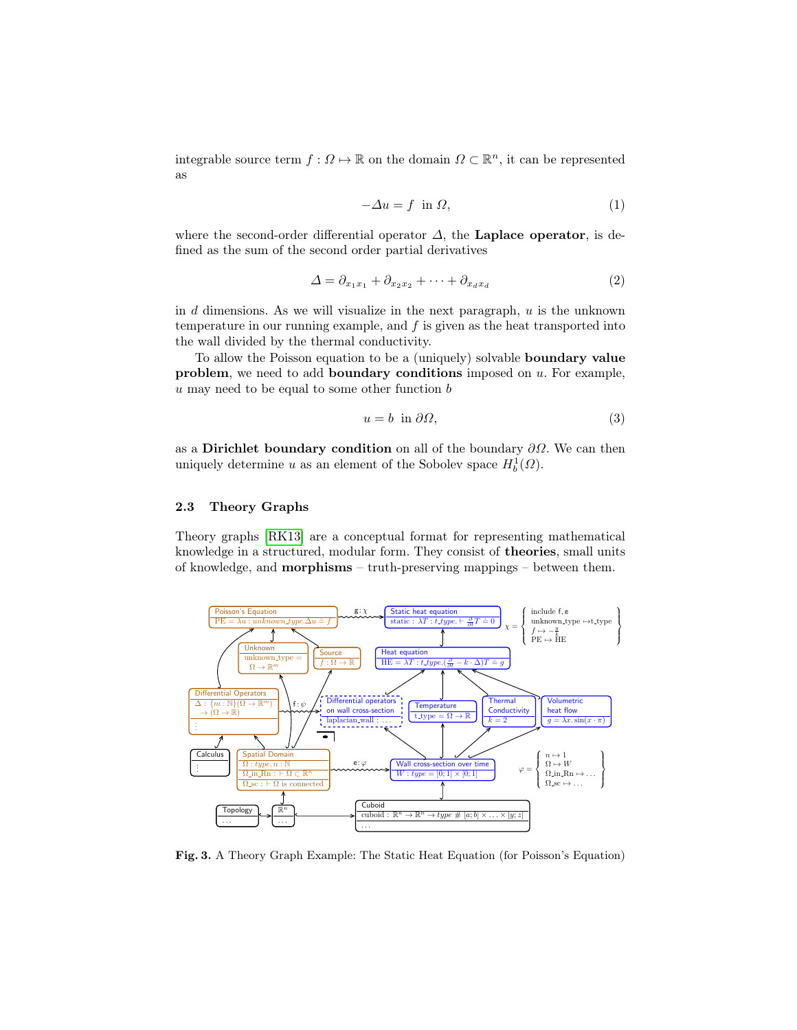integrable source term  $f: \Omega \mapsto \mathbb{R}$  on the domain  $\Omega \subset \mathbb{R}^n$ , it can be represented as

$$
-\Delta u = f \text{ in } \Omega,\tag{1}
$$

where the second-order differential operator  $\Delta$ , the **Laplace operator**, is defined as the sum of the second order partial derivatives

$$
\Delta = \partial_{x_1 x_1} + \partial_{x_2 x_2} + \dots + \partial_{x_d x_d} \tag{2}
$$

in  $d$  dimensions. As we will visualize in the next paragraph,  $u$  is the unknown temperature in our running example, and  $f$  is given as the heat transported into the wall divided by the thermal conductivity.

To allow the Poisson equation to be a (uniquely) solvable boundary value problem, we need to add **boundary conditions** imposed on  $u$ . For example,  $u$  may need to be equal to some other function  $b$ 

$$
u = b \text{ in } \partial\Omega,\tag{3}
$$

as a Dirichlet boundary condition on all of the boundary  $\partial\Omega$ . We can then uniquely determine u as an element of the Sobolev space  $H_b^1(\Omega)$ .

### <span id="page-3-0"></span>2.3 Theory Graphs

Theory graphs [\[RK13\]](#page-15-2) are a conceptual format for representing mathematical knowledge in a structured, modular form. They consist of theories, small units of knowledge, and morphisms – truth-preserving mappings – between them.



<span id="page-3-1"></span>Fig. 3. A Theory Graph Example: The Static Heat Equation (for Poisson's Equation)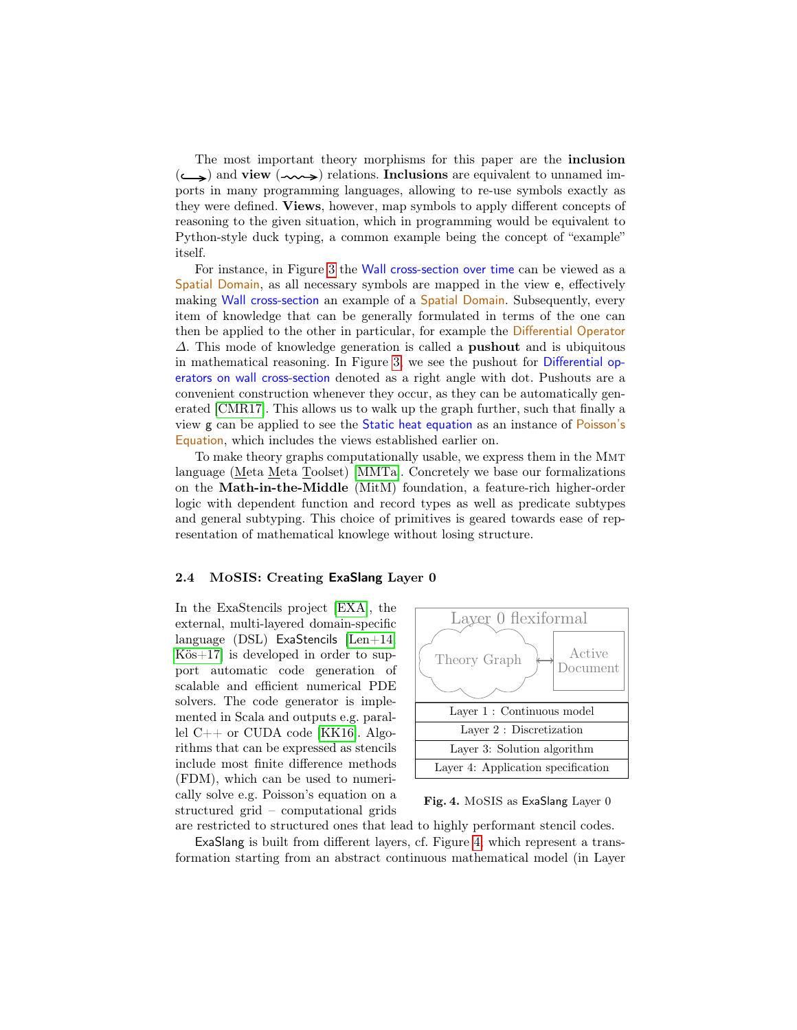The most important theory morphisms for this paper are the inclusion ( $\iff$ ) and view ( $\iff$ ) relations. Inclusions are equivalent to unnamed imports in many programming languages, allowing to re-use symbols exactly as they were defined. Views, however, map symbols to apply different concepts of reasoning to the given situation, which in programming would be equivalent to Python-style duck typing, a common example being the concept of "example" itself.

For instance, in Figure [3](#page-3-1) the Wall cross-section over time can be viewed as a Spatial Domain, as all necessary symbols are mapped in the view e, effectively making Wall cross-section an example of a Spatial Domain. Subsequently, every item of knowledge that can be generally formulated in terms of the one can then be applied to the other in particular, for example the Differential Operator  $\Delta$ . This mode of knowledge generation is called a **pushout** and is ubiquitous in mathematical reasoning. In Figure [3,](#page-3-1) we see the pushout for Differential operators on wall cross-section denoted as a right angle with dot. Pushouts are a convenient construction whenever they occur, as they can be automatically generated [\[CMR17\]](#page-14-2). This allows us to walk up the graph further, such that finally a view g can be applied to see the Static heat equation as an instance of Poisson's Equation, which includes the views established earlier on.

To make theory graphs computationally usable, we express them in the Mmt language (Meta Meta Toolset) [\[MMTa\]](#page-15-3). Concretely we base our formalizations on the Math-in-the-Middle (MitM) foundation, a feature-rich higher-order logic with dependent function and record types as well as predicate subtypes and general subtyping. This choice of primitives is geared towards ease of representation of mathematical knowlege without losing structure.

#### <span id="page-4-1"></span>2.4 MoSIS: Creating ExaSlang Layer 0

In the ExaStencils project [\[EXA\]](#page-14-3), the external, multi-layered domain-specific language  $(DSL)$  ExaStencils  $[Len+14;$ [Kös+17\]](#page-15-5) is developed in order to support automatic code generation of scalable and efficient numerical PDE solvers. The code generator is implemented in Scala and outputs e.g. parallel C++ or CUDA code [\[KK16\]](#page-14-4). Algorithms that can be expressed as stencils include most finite difference methods (FDM), which can be used to numerically solve e.g. Poisson's equation on a structured grid – computational grids



<span id="page-4-0"></span>Fig. 4. MoSIS as ExaSlang Layer 0

are restricted to structured ones that lead to highly performant stencil codes.

ExaSlang is built from different layers, cf. Figure [4,](#page-4-0) which represent a transformation starting from an abstract continuous mathematical model (in Layer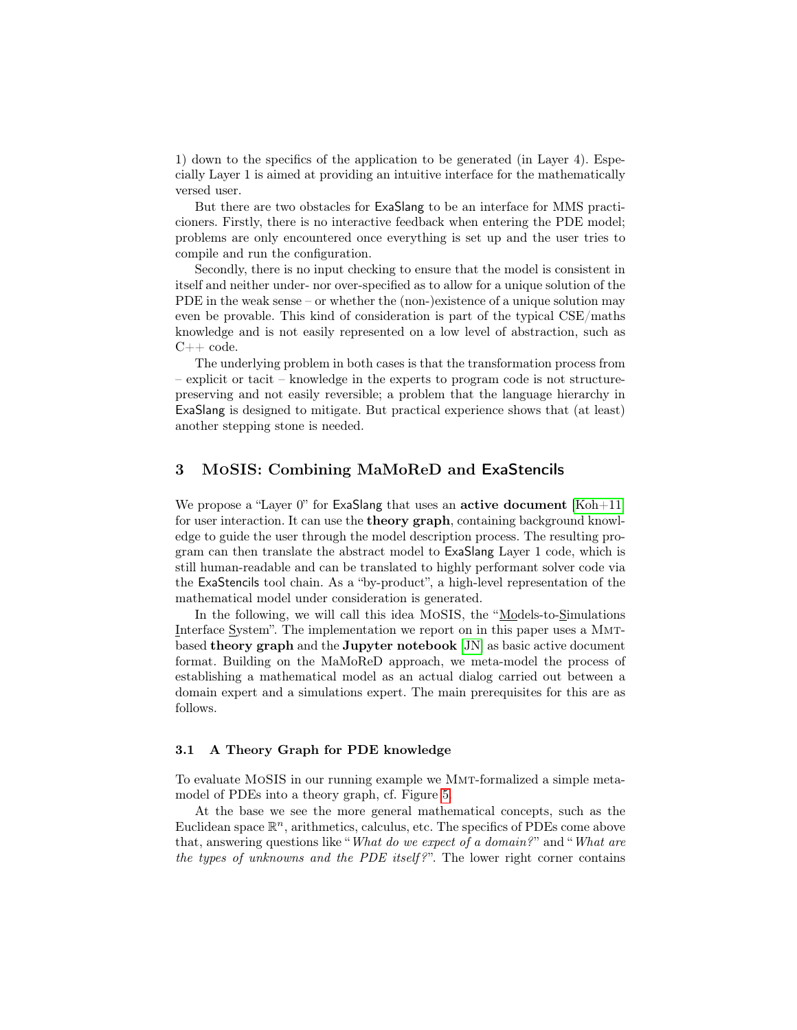1) down to the specifics of the application to be generated (in Layer 4). Especially Layer 1 is aimed at providing an intuitive interface for the mathematically versed user.

But there are two obstacles for ExaSlang to be an interface for MMS practicioners. Firstly, there is no interactive feedback when entering the PDE model; problems are only encountered once everything is set up and the user tries to compile and run the configuration.

Secondly, there is no input checking to ensure that the model is consistent in itself and neither under- nor over-specified as to allow for a unique solution of the PDE in the weak sense – or whether the (non-)existence of a unique solution may even be provable. This kind of consideration is part of the typical CSE/maths knowledge and is not easily represented on a low level of abstraction, such as  $C++code$ .

The underlying problem in both cases is that the transformation process from – explicit or tacit – knowledge in the experts to program code is not structurepreserving and not easily reversible; a problem that the language hierarchy in ExaSlang is designed to mitigate. But practical experience shows that (at least) another stepping stone is needed.

## <span id="page-5-0"></span>3 MoSIS: Combining MaMoReD and ExaStencils

We propose a "Layer 0" for ExaSlang that uses an active document  $[K\ddot{o}h+11]$ for user interaction. It can use the **theory graph**, containing background knowledge to guide the user through the model description process. The resulting program can then translate the abstract model to ExaSlang Layer 1 code, which is still human-readable and can be translated to highly performant solver code via the ExaStencils tool chain. As a "by-product", a high-level representation of the mathematical model under consideration is generated.

In the following, we will call this idea MoSIS, the "Models-to-Simulations Interface System". The implementation we report on in this paper uses a Mmtbased theory graph and the Jupyter notebook [\[JN\]](#page-14-6) as basic active document format. Building on the MaMoReD approach, we meta-model the process of establishing a mathematical model as an actual dialog carried out between a domain expert and a simulations expert. The main prerequisites for this are as follows.

#### 3.1 A Theory Graph for PDE knowledge

To evaluate MoSIS in our running example we Mmt-formalized a simple metamodel of PDEs into a theory graph, cf. Figure [5.](#page-6-0)

At the base we see the more general mathematical concepts, such as the Euclidean space  $\mathbb{R}^n$ , arithmetics, calculus, etc. The specifics of PDEs come above that, answering questions like "What do we expect of a domain?" and "What are the types of unknowns and the PDE itself?". The lower right corner contains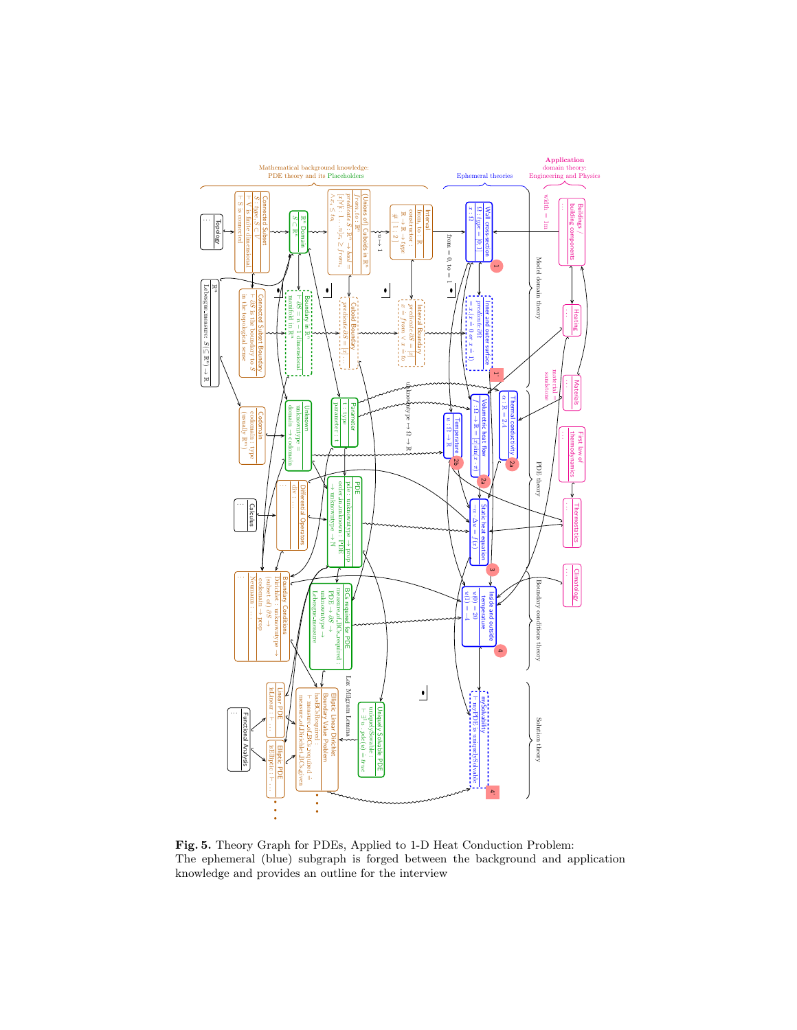

<span id="page-6-0"></span>Fig. 5. Theory Graph for PDEs, Applied to 1-D Heat Conduction Problem: The ephemeral (blue) subgraph is forged between the background and application knowledge and provides an outline for the interview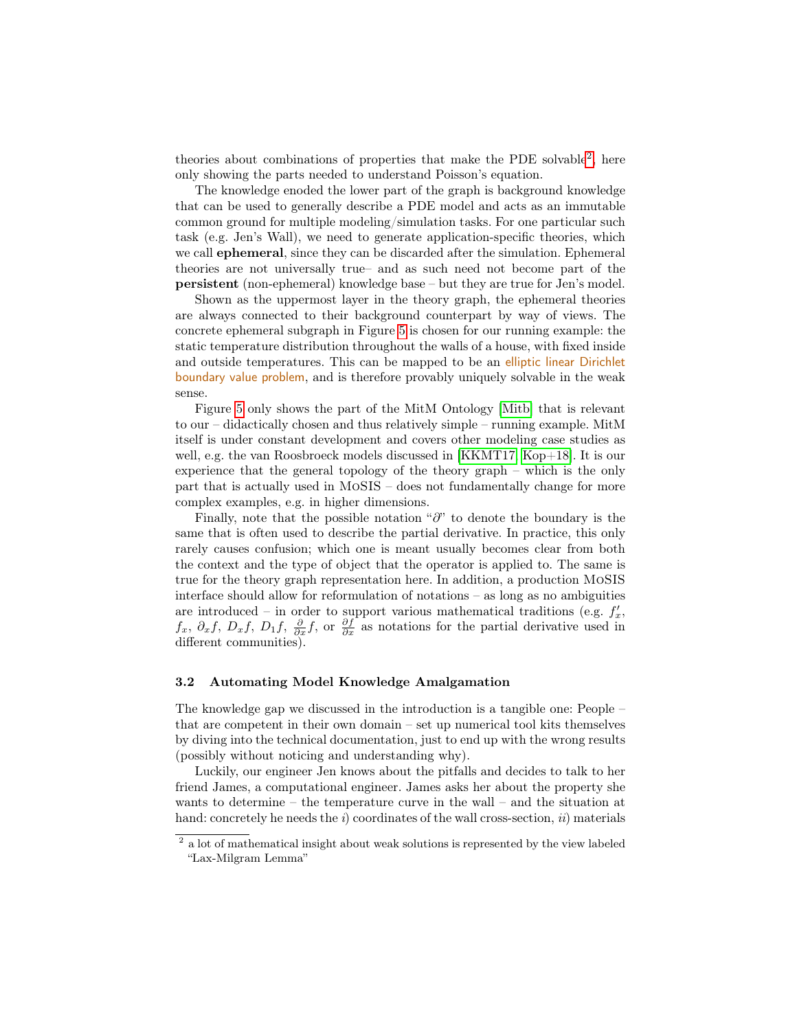theories about combinations of properties that make the PDE solvable[2](#page-7-0) , here only showing the parts needed to understand Poisson's equation.

The knowledge enoded the lower part of the graph is background knowledge that can be used to generally describe a PDE model and acts as an immutable common ground for multiple modeling/simulation tasks. For one particular such task (e.g. Jen's Wall), we need to generate application-specific theories, which we call ephemeral, since they can be discarded after the simulation. Ephemeral theories are not universally true– and as such need not become part of the persistent (non-ephemeral) knowledge base – but they are true for Jen's model.

Shown as the uppermost layer in the theory graph, the ephemeral theories are always connected to their background counterpart by way of views. The concrete ephemeral subgraph in Figure [5](#page-6-0) is chosen for our running example: the static temperature distribution throughout the walls of a house, with fixed inside and outside temperatures. This can be mapped to be an elliptic linear Dirichlet boundary value problem, and is therefore provably uniquely solvable in the weak sense.

Figure [5](#page-6-0) only shows the part of the MitM Ontology [\[Mitb\]](#page-15-6) that is relevant to our – didactically chosen and thus relatively simple – running example. MitM itself is under constant development and covers other modeling case studies as well, e.g. the van Roosbroeck models discussed in [\[KKMT17;](#page-14-0) [Kop+18\]](#page-14-1). It is our experience that the general topology of the theory graph – which is the only part that is actually used in MoSIS – does not fundamentally change for more complex examples, e.g. in higher dimensions.

Finally, note that the possible notation " $\partial$ " to denote the boundary is the same that is often used to describe the partial derivative. In practice, this only rarely causes confusion; which one is meant usually becomes clear from both the context and the type of object that the operator is applied to. The same is true for the theory graph representation here. In addition, a production MoSIS interface should allow for reformulation of notations – as long as no ambiguities are introduced – in order to support various mathematical traditions (e.g.  $f'_x$ ,  $f_x, \partial_x f, D_x f, D_1 f, \frac{\partial}{\partial x} f$ , or  $\frac{\partial f}{\partial x}$  as notations for the partial derivative used in different communities).

#### 3.2 Automating Model Knowledge Amalgamation

The knowledge gap we discussed in the introduction is a tangible one: People – that are competent in their own domain – set up numerical tool kits themselves by diving into the technical documentation, just to end up with the wrong results (possibly without noticing and understanding why).

Luckily, our engineer Jen knows about the pitfalls and decides to talk to her friend James, a computational engineer. James asks her about the property she wants to determine – the temperature curve in the wall – and the situation at hand: concretely he needs the  $i$ ) coordinates of the wall cross-section,  $ii$ ) materials

<span id="page-7-0"></span> $2$  a lot of mathematical insight about weak solutions is represented by the view labeled "Lax-Milgram Lemma"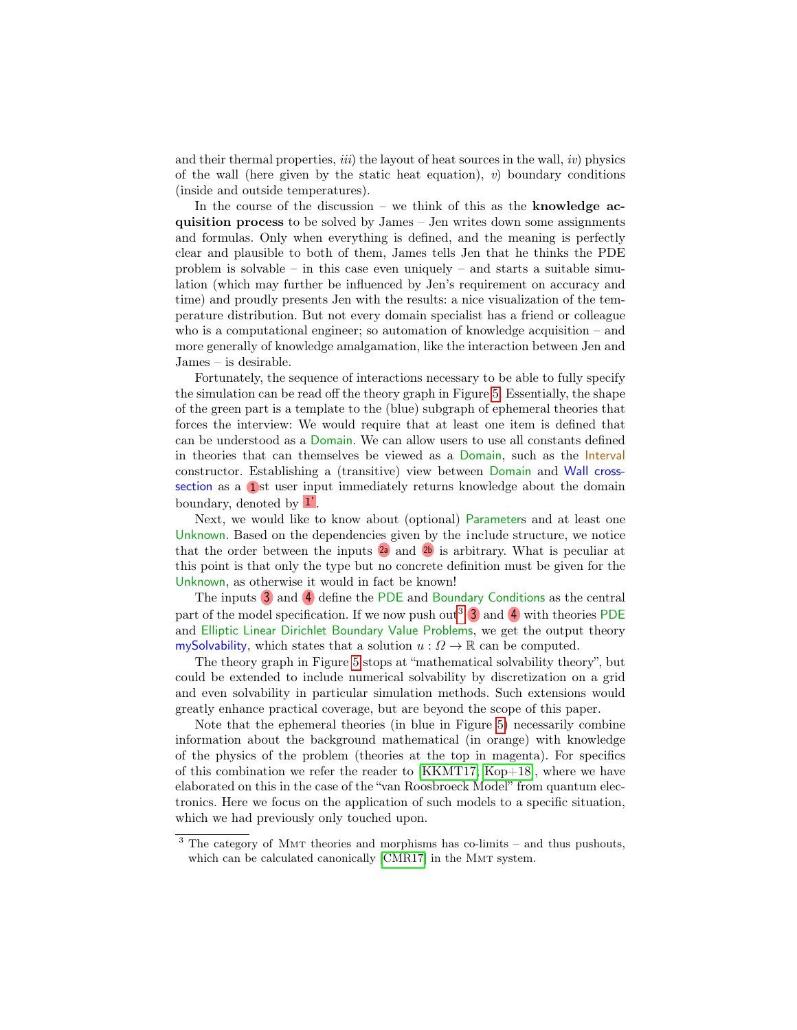and their thermal properties, *iii*) the layout of heat sources in the wall, *iv*) physics of the wall (here given by the static heat equation),  $v$ ) boundary conditions (inside and outside temperatures).

In the course of the discussion – we think of this as the knowledge acquisition process to be solved by James – Jen writes down some assignments and formulas. Only when everything is defined, and the meaning is perfectly clear and plausible to both of them, James tells Jen that he thinks the PDE problem is solvable – in this case even uniquely – and starts a suitable simulation (which may further be influenced by Jen's requirement on accuracy and time) and proudly presents Jen with the results: a nice visualization of the temperature distribution. But not every domain specialist has a friend or colleague who is a computational engineer; so automation of knowledge acquisition – and more generally of knowledge amalgamation, like the interaction between Jen and James – is desirable.

Fortunately, the sequence of interactions necessary to be able to fully specify the simulation can be read off the theory graph in Figure [5.](#page-6-0) Essentially, the shape of the green part is a template to the (blue) subgraph of ephemeral theories that forces the interview: We would require that at least one item is defined that can be understood as a Domain. We can allow users to use all constants defined in theories that can themselves be viewed as a Domain, such as the Interval constructor. Establishing a (transitive) view between Domain and Wall crosssection as a 1st user input immediately returns knowledge about the domain boundary, denoted by  $1'$ .

Next, we would like to know about (optional) Parameters and at least one Unknown. Based on the dependencies given by the include structure, we notice that the order between the inputs  $2a$  and  $2b$  is arbitrary. What is peculiar at this point is that only the type but no concrete definition must be given for the Unknown, as otherwise it would in fact be known!

The inputs 3 and 4 define the PDE and Boundary Conditions as the central part of the model specification. If we now push out<sup>[3](#page-8-0)</sup>  $\overline{3}$  and  $\overline{4}$  with theories PDE and Elliptic Linear Dirichlet Boundary Value Problems, we get the output theory mySolvability, which states that a solution  $u : \Omega \to \mathbb{R}$  can be computed.

The theory graph in Figure [5](#page-6-0) stops at "mathematical solvability theory", but could be extended to include numerical solvability by discretization on a grid and even solvability in particular simulation methods. Such extensions would greatly enhance practical coverage, but are beyond the scope of this paper.

Note that the ephemeral theories (in blue in Figure [5\)](#page-6-0) necessarily combine information about the background mathematical (in orange) with knowledge of the physics of the problem (theories at the top in magenta). For specifics of this combination we refer the reader to [\[KKMT17;](#page-14-0) [Kop+18\]](#page-14-1), where we have elaborated on this in the case of the "van Roosbroeck Model" from quantum electronics. Here we focus on the application of such models to a specific situation, which we had previously only touched upon.

<span id="page-8-0"></span><sup>3</sup> The category of Mmt theories and morphisms has co-limits – and thus pushouts, which can be calculated canonically [\[CMR17\]](#page-14-2) in the MMT system.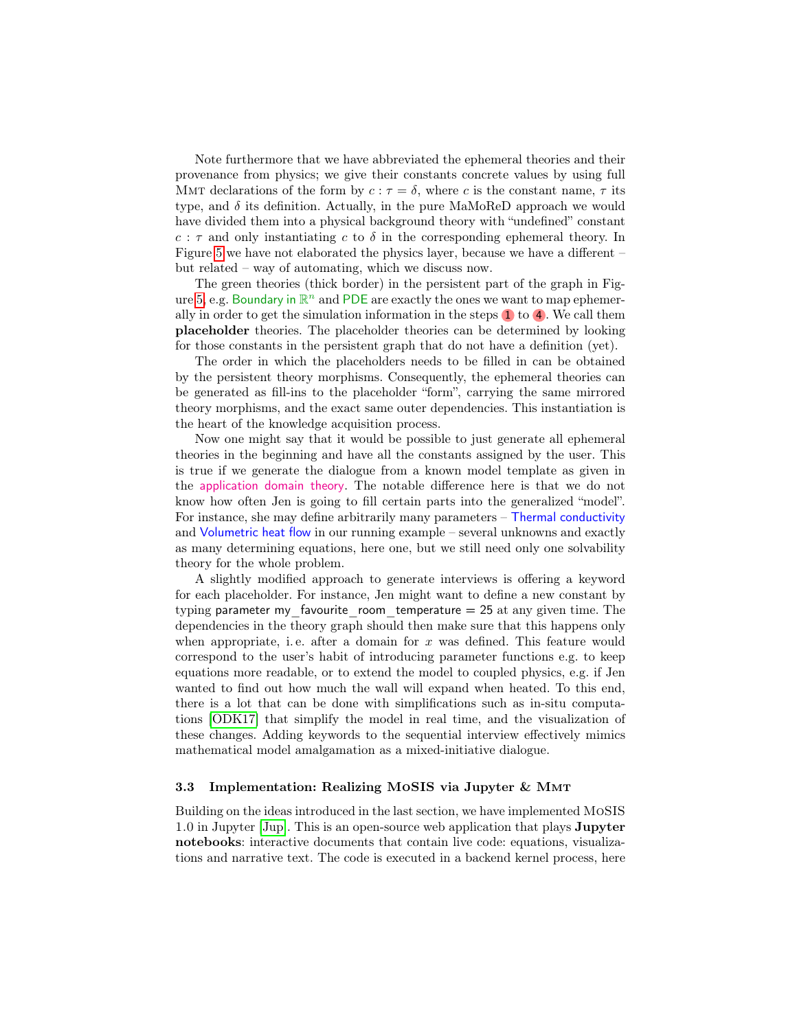Note furthermore that we have abbreviated the ephemeral theories and their provenance from physics; we give their constants concrete values by using full MMT declarations of the form by  $c : \tau = \delta$ , where c is the constant name,  $\tau$  its type, and  $\delta$  its definition. Actually, in the pure MaMoReD approach we would have divided them into a physical background theory with "undefined" constant  $c : \tau$  and only instantiating c to  $\delta$  in the corresponding ephemeral theory. In Figure [5](#page-6-0) we have not elaborated the physics layer, because we have a different – but related – way of automating, which we discuss now.

The green theories (thick border) in the persistent part of the graph in Fig-ure [5,](#page-6-0) e.g. Boundary in  $\mathbb{R}^n$  and PDE are exactly the ones we want to map ephemerally in order to get the simulation information in the steps  $(1)$  to  $(4)$ . We call them placeholder theories. The placeholder theories can be determined by looking for those constants in the persistent graph that do not have a definition (yet).

The order in which the placeholders needs to be filled in can be obtained by the persistent theory morphisms. Consequently, the ephemeral theories can be generated as fill-ins to the placeholder "form", carrying the same mirrored theory morphisms, and the exact same outer dependencies. This instantiation is the heart of the knowledge acquisition process.

Now one might say that it would be possible to just generate all ephemeral theories in the beginning and have all the constants assigned by the user. This is true if we generate the dialogue from a known model template as given in the application domain theory. The notable difference here is that we do not know how often Jen is going to fill certain parts into the generalized "model". For instance, she may define arbitrarily many parameters – Thermal conductivity and Volumetric heat flow in our running example – several unknowns and exactly as many determining equations, here one, but we still need only one solvability theory for the whole problem.

A slightly modified approach to generate interviews is offering a keyword for each placeholder. For instance, Jen might want to define a new constant by typing parameter my favourite room temperature  $= 25$  at any given time. The dependencies in the theory graph should then make sure that this happens only when appropriate, i.e. after a domain for  $x$  was defined. This feature would correspond to the user's habit of introducing parameter functions e.g. to keep equations more readable, or to extend the model to coupled physics, e.g. if Jen wanted to find out how much the wall will expand when heated. To this end, there is a lot that can be done with simplifications such as in-situ computations [\[ODK17\]](#page-15-7) that simplify the model in real time, and the visualization of these changes. Adding keywords to the sequential interview effectively mimics mathematical model amalgamation as a mixed-initiative dialogue.

#### 3.3 Implementation: Realizing MoSIS via Jupyter & Mmt

Building on the ideas introduced in the last section, we have implemented MoSIS 1.0 in Jupyter [\[Jup\]](#page-14-7). This is an open-source web application that plays Jupyter notebooks: interactive documents that contain live code: equations, visualizations and narrative text. The code is executed in a backend kernel process, here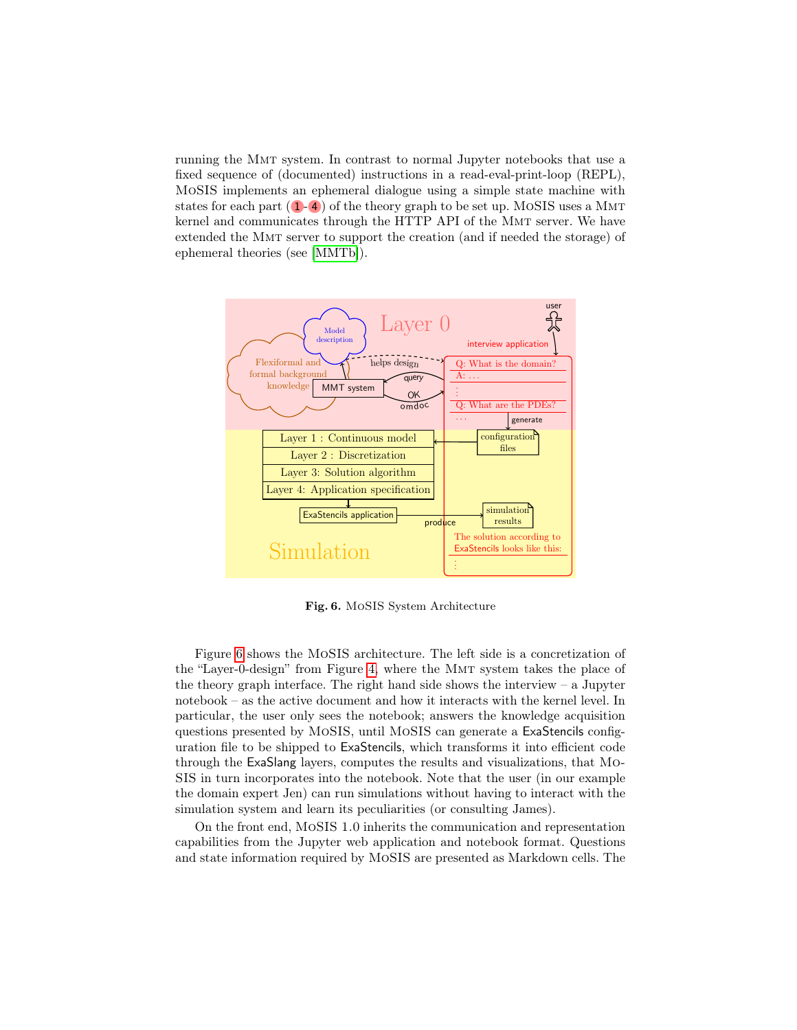running the Mmt system. In contrast to normal Jupyter notebooks that use a fixed sequence of (documented) instructions in a read-eval-print-loop (REPL), MoSIS implements an ephemeral dialogue using a simple state machine with states for each part  $(1-4)$  of the theory graph to be set up. MOSIS uses a MMT kernel and communicates through the HTTP API of the MMT server. We have extended the Mmt server to support the creation (and if needed the storage) of ephemeral theories (see [\[MMTb\]](#page-15-8)).



<span id="page-10-0"></span>Fig. 6. MoSIS System Architecture

Figure [6](#page-10-0) shows the MoSIS architecture. The left side is a concretization of the "Layer-0-design" from Figure [4,](#page-4-0) where the Mmt system takes the place of the theory graph interface. The right hand side shows the interview  $-$  a Jupyter notebook – as the active document and how it interacts with the kernel level. In particular, the user only sees the notebook; answers the knowledge acquisition questions presented by MoSIS, until MoSIS can generate a ExaStencils configuration file to be shipped to ExaStencils, which transforms it into efficient code through the ExaSlang layers, computes the results and visualizations, that Mo-SIS in turn incorporates into the notebook. Note that the user (in our example the domain expert Jen) can run simulations without having to interact with the simulation system and learn its peculiarities (or consulting James).

On the front end, MoSIS 1.0 inherits the communication and representation capabilities from the Jupyter web application and notebook format. Questions and state information required by MoSIS are presented as Markdown cells. The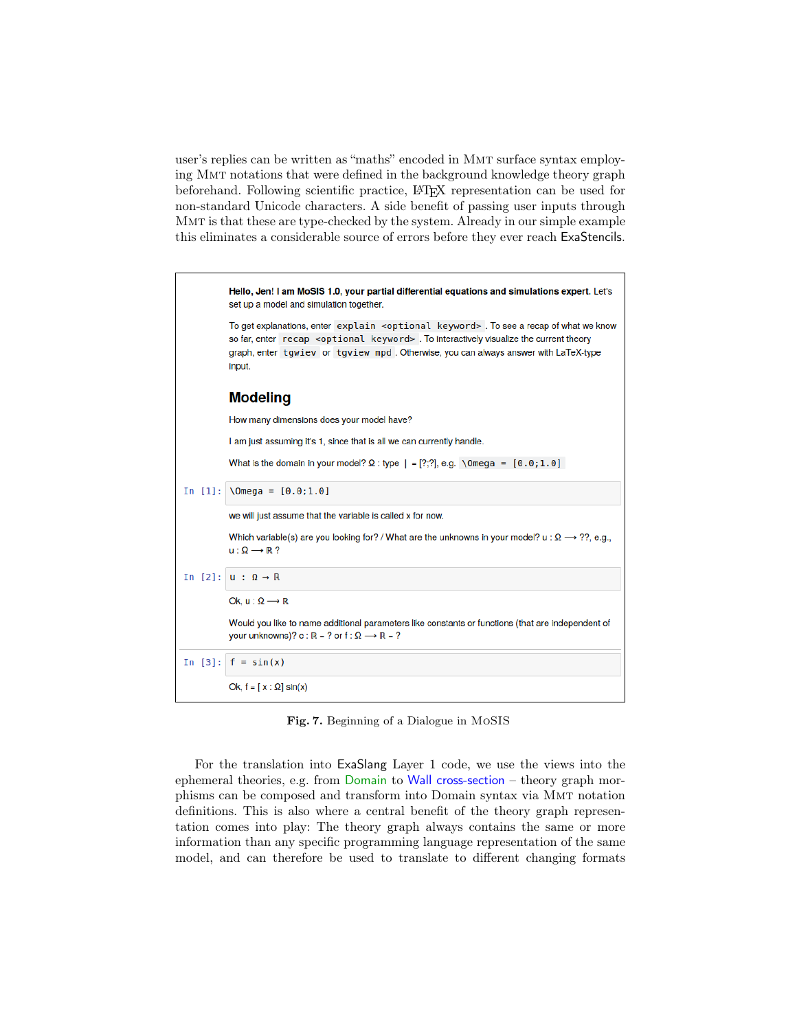user's replies can be written as "maths" encoded in Mmt surface syntax employing Mmt notations that were defined in the background knowledge theory graph beforehand. Following scientific practice, LAT<sub>EX</sub> representation can be used for non-standard Unicode characters. A side benefit of passing user inputs through Mmt is that these are type-checked by the system. Already in our simple example this eliminates a considerable source of errors before they ever reach ExaStencils.



<span id="page-11-0"></span>Fig. 7. Beginning of a Dialogue in MoSIS

For the translation into ExaSlang Layer 1 code, we use the views into the ephemeral theories, e.g. from Domain to Wall cross-section – theory graph morphisms can be composed and transform into Domain syntax via Mmt notation definitions. This is also where a central benefit of the theory graph representation comes into play: The theory graph always contains the same or more information than any specific programming language representation of the same model, and can therefore be used to translate to different changing formats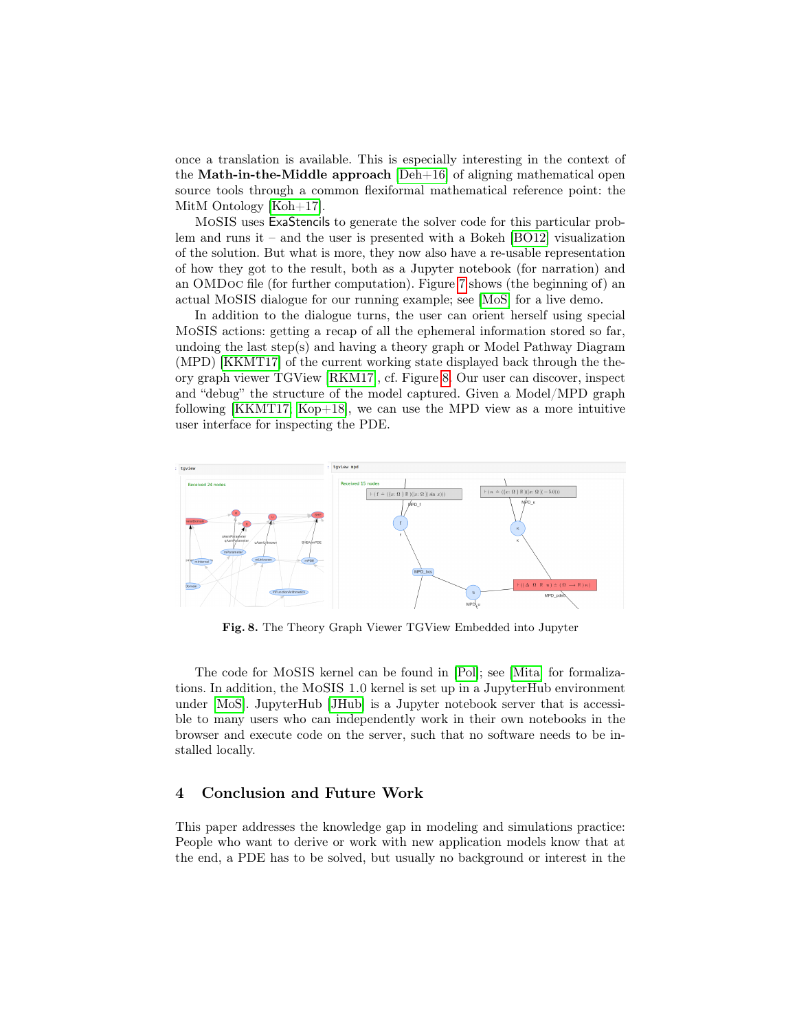once a translation is available. This is especially interesting in the context of the **Math-in-the-Middle approach**  $[Deh+16]$  of aligning mathematical open source tools through a common flexiformal mathematical reference point: the MitM Ontology [\[Koh+17\]](#page-14-9).

MoSIS uses ExaStencils to generate the solver code for this particular problem and runs it – and the user is presented with a Bokeh [\[BO12\]](#page-13-0) visualization of the solution. But what is more, they now also have a re-usable representation of how they got to the result, both as a Jupyter notebook (for narration) and an OMDoc file (for further computation). Figure [7](#page-11-0) shows (the beginning of) an actual MoSIS dialogue for our running example; see [\[MoS\]](#page-15-9) for a live demo.

In addition to the dialogue turns, the user can orient herself using special MoSIS actions: getting a recap of all the ephemeral information stored so far, undoing the last step(s) and having a theory graph or Model Pathway Diagram (MPD) [\[KKMT17\]](#page-14-0) of the current working state displayed back through the theory graph viewer TGView [\[RKM17\]](#page-15-10), cf. Figure [8.](#page-12-1) Our user can discover, inspect and "debug" the structure of the model captured. Given a Model/MPD graph following [\[KKMT17;](#page-14-0) [Kop+18\]](#page-14-1), we can use the MPD view as a more intuitive user interface for inspecting the PDE.



<span id="page-12-1"></span>Fig. 8. The Theory Graph Viewer TGView Embedded into Jupyter

The code for MoSIS kernel can be found in [\[Pol\]](#page-15-11); see [\[Mita\]](#page-15-12) for formalizations. In addition, the MoSIS 1.0 kernel is set up in a JupyterHub environment under [\[MoS\]](#page-15-9). JupyterHub [\[JHub\]](#page-14-10) is a Jupyter notebook server that is accessible to many users who can independently work in their own notebooks in the browser and execute code on the server, such that no software needs to be installed locally.

## <span id="page-12-0"></span>4 Conclusion and Future Work

This paper addresses the knowledge gap in modeling and simulations practice: People who want to derive or work with new application models know that at the end, a PDE has to be solved, but usually no background or interest in the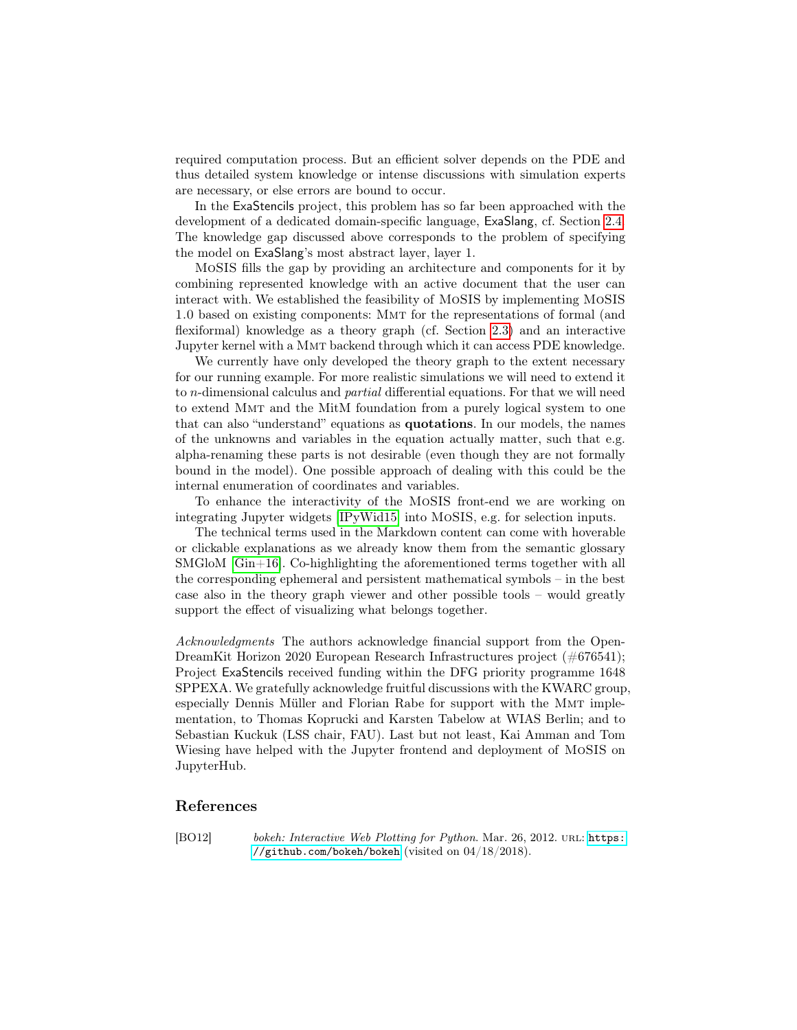required computation process. But an efficient solver depends on the PDE and thus detailed system knowledge or intense discussions with simulation experts are necessary, or else errors are bound to occur.

In the ExaStencils project, this problem has so far been approached with the development of a dedicated domain-specific language, ExaSlang, cf. Section [2.4.](#page-4-1) The knowledge gap discussed above corresponds to the problem of specifying the model on ExaSlang's most abstract layer, layer 1.

MoSIS fills the gap by providing an architecture and components for it by combining represented knowledge with an active document that the user can interact with. We established the feasibility of MoSIS by implementing MoSIS 1.0 based on existing components: Mmt for the representations of formal (and flexiformal) knowledge as a theory graph (cf. Section [2.3\)](#page-3-0) and an interactive Jupyter kernel with a Mmt backend through which it can access PDE knowledge.

We currently have only developed the theory graph to the extent necessary for our running example. For more realistic simulations we will need to extend it to n-dimensional calculus and partial differential equations. For that we will need to extend Mmt and the MitM foundation from a purely logical system to one that can also "understand" equations as quotations. In our models, the names of the unknowns and variables in the equation actually matter, such that e.g. alpha-renaming these parts is not desirable (even though they are not formally bound in the model). One possible approach of dealing with this could be the internal enumeration of coordinates and variables.

To enhance the interactivity of the MoSIS front-end we are working on integrating Jupyter widgets [\[IPyWid15\]](#page-14-11) into MoSIS, e.g. for selection inputs.

The technical terms used in the Markdown content can come with hoverable or clickable explanations as we already know them from the semantic glossary SMGloM [\[Gin+16\]](#page-14-12). Co-highlighting the aforementioned terms together with all the corresponding ephemeral and persistent mathematical symbols – in the best case also in the theory graph viewer and other possible tools – would greatly support the effect of visualizing what belongs together.

Acknowledgments The authors acknowledge financial support from the Open-DreamKit Horizon 2020 European Research Infrastructures project (#676541); Project ExaStencils received funding within the DFG priority programme 1648 SPPEXA. We gratefully acknowledge fruitful discussions with the KWARC group, especially Dennis Müller and Florian Rabe for support with the Mmt implementation, to Thomas Koprucki and Karsten Tabelow at WIAS Berlin; and to Sebastian Kuckuk (LSS chair, FAU). Last but not least, Kai Amman and Tom Wiesing have helped with the Jupyter frontend and deployment of MoSIS on JupyterHub.

## References

<span id="page-13-0"></span>[BO12] bokeh: Interactive Web Plotting for Python. Mar. 26, 2012. URL: [https:](https://github.com/bokeh/bokeh) [//github.com/bokeh/bokeh](https://github.com/bokeh/bokeh) (visited on 04/18/2018).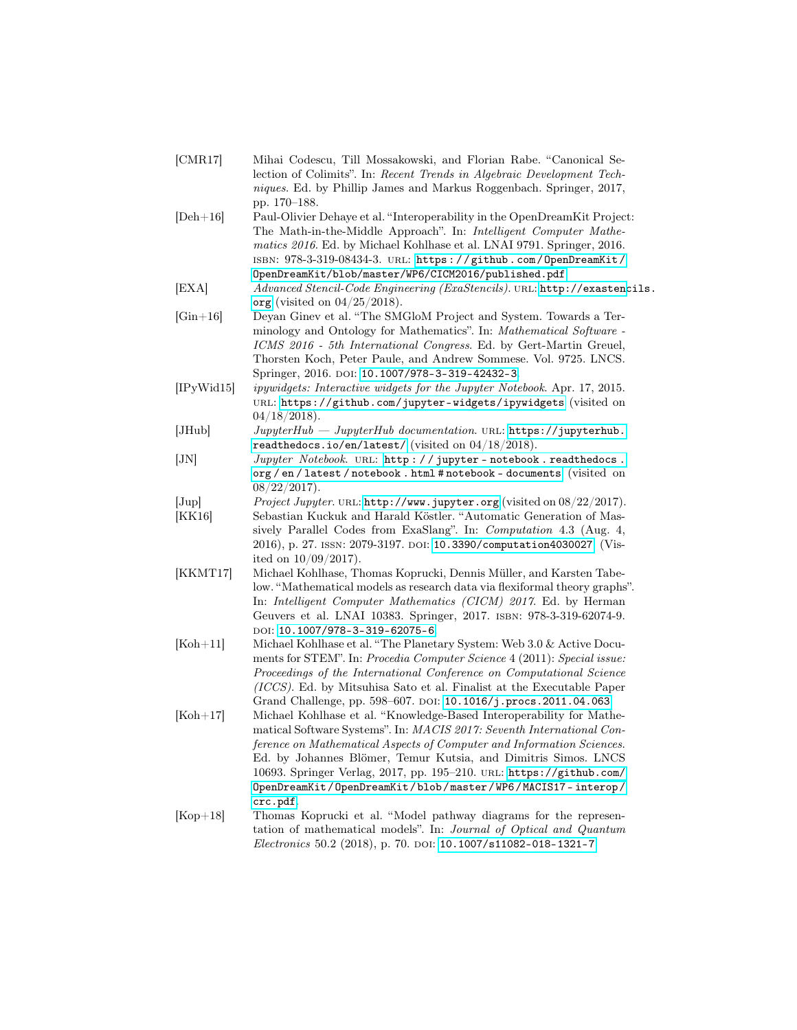<span id="page-14-12"></span><span id="page-14-11"></span><span id="page-14-10"></span><span id="page-14-9"></span><span id="page-14-8"></span><span id="page-14-7"></span><span id="page-14-6"></span><span id="page-14-5"></span><span id="page-14-4"></span><span id="page-14-3"></span><span id="page-14-2"></span><span id="page-14-1"></span><span id="page-14-0"></span>

| [CMR17]                  | Mihai Codescu, Till Mossakowski, and Florian Rabe. "Canonical Se-<br>lection of Colimits". In: Recent Trends in Algebraic Development Tech-<br>niques. Ed. by Phillip James and Markus Roggenbach. Springer, 2017,                                                                                                                                                                                                                        |
|--------------------------|-------------------------------------------------------------------------------------------------------------------------------------------------------------------------------------------------------------------------------------------------------------------------------------------------------------------------------------------------------------------------------------------------------------------------------------------|
|                          | pp. 170–188.                                                                                                                                                                                                                                                                                                                                                                                                                              |
| $[Deh+16]$               | Paul-Olivier Dehaye et al. "Interoperability in the OpenDreamKit Project:<br>The Math-in-the-Middle Approach". In: Intelligent Computer Mathe-<br>matics 2016. Ed. by Michael Kohlhase et al. LNAI 9791. Springer, 2016.<br>ISBN: 978-3-319-08434-3. URL: https://github.com/OpenDreamKit/                                                                                                                                                |
| [EXA]                    | OpenDreamKit/blob/master/WP6/CICM2016/published.pdf.<br>Advanced Stencil-Code Engineering (ExaStencils). URL: http://exastencils.<br>org (visited on $04/25/2018$ ).                                                                                                                                                                                                                                                                      |
| $[Gin+16]$               | Deyan Ginev et al. "The SMGloM Project and System. Towards a Ter-<br>minology and Ontology for Mathematics". In: Mathematical Software -<br>ICMS 2016 - 5th International Congress. Ed. by Gert-Martin Greuel,<br>Thorsten Koch, Peter Paule, and Andrew Sommese. Vol. 9725. LNCS.<br>Springer, 2016. DOI: 10.1007/978-3-319-42432-3.                                                                                                     |
| [IPyWid15]               | ipywidgets: Interactive widgets for the Jupyter Notebook. Apr. 17, 2015.<br>URL: https://github.com/jupyter-widgets/ipywidgets (visited on<br>$04/18/2018$ ).                                                                                                                                                                                                                                                                             |
| $[\text{JHub}]$          | $JupyterHub - JupyterHub documentation$ . URL: https://jupyterhub.<br>readthedocs.io/en/latest/ (visited on $04/18/2018$ ).                                                                                                                                                                                                                                                                                                               |
| [JN]                     | $Jupyter\ Notebook. \text{ URL: http://jupyter-notebook.readthedocs.}$<br>org/en/latest/notebook.html#notebook-documents (visited on<br>$08/22/2017$ .                                                                                                                                                                                                                                                                                    |
| $[\text{Jup}]$<br>[KK16] | Project Jupyter. URL: $http://www.jupyter.org (visited on 08/22/2017).$<br>Sebastian Kuckuk and Harald Köstler. "Automatic Generation of Mas-<br>sively Parallel Codes from ExaSlang". In: Computation 4.3 (Aug. 4,<br>2016), p. 27. ISSN: 2079-3197. DOI: 10.3390/computation4030027. (Vis-<br>ited on $10/09/2017$ ).                                                                                                                   |
| [KKMT17]                 | Michael Kohlhase, Thomas Koprucki, Dennis Müller, and Karsten Tabe-<br>low. "Mathematical models as research data via flexiformal theory graphs".<br>In: Intelligent Computer Mathematics (CICM) 2017. Ed. by Herman<br>Geuvers et al. LNAI 10383. Springer, 2017. ISBN: 978-3-319-62074-9.<br>DOI: 10.1007/978-3-319-62075-6.                                                                                                            |
| $[Koh+11]$               | Michael Kohlhase et al. "The Planetary System: Web 3.0 & Active Docu-<br>ments for STEM". In: Procedia Computer Science 4 (2011): Special issue:<br>Proceedings of the International Conference on Computational Science<br>(ICCS). Ed. by Mitsuhisa Sato et al. Finalist at the Executable Paper<br>Grand Challenge, pp. 598-607. DOI: 10.1016/j.procs.2011.04.063.                                                                      |
| $[Koh+17]$               | Michael Kohlhase et al. "Knowledge-Based Interoperability for Mathe-<br>matical Software Systems". In: MACIS 2017: Seventh International Con-<br>ference on Mathematical Aspects of Computer and Information Sciences.<br>Ed. by Johannes Blömer, Temur Kutsia, and Dimitris Simos. LNCS<br>10693. Springer Verlag, 2017, pp. 195-210. URL: https://github.com/<br>OpenDreamKit/OpenDreamKit/blob/master/WP6/MACIS17-interop/<br>crc.pdf. |
| $[Kop+18]$               | Thomas Koprucki et al. "Model pathway diagrams for the represen-<br>tation of mathematical models". In: Journal of Optical and Quantum<br>Electronics 50.2 (2018), p. 70. DOI: 10.1007/s11082-018-1321-7.                                                                                                                                                                                                                                 |